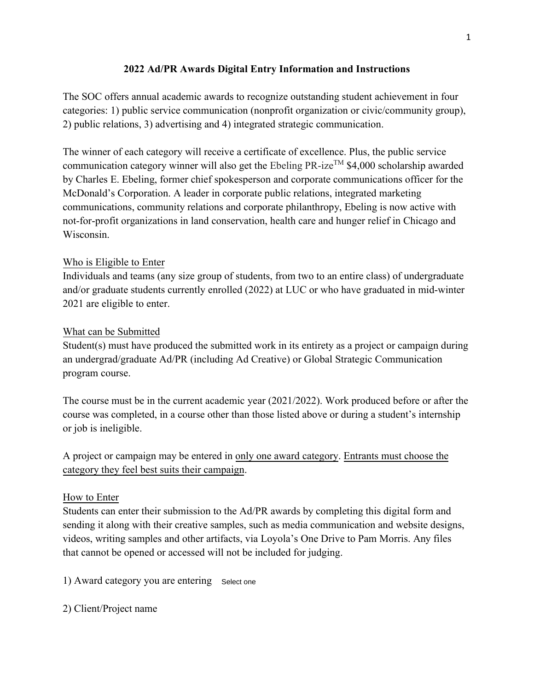## **2022 Ad/PR Awards Digital Entry Information and Instructions**

The SOC offers annual academic awards to recognize outstanding student achievement in four categories: 1) public service communication (nonprofit organization or civic/community group), 2) public relations, 3) advertising and 4) integrated strategic communication.

The winner of each category will receive a certificate of excellence. Plus, the public service communication category winner will also get the Ebeling PR-ize<sup>TM</sup> \$4,000 scholarship awarded by Charles E. Ebeling, former chief spokesperson and corporate communications officer for the McDonald's Corporation. A leader in corporate public relations, integrated marketing communications, community relations and corporate philanthropy, Ebeling is now active with not-for-profit organizations in land conservation, health care and hunger relief in Chicago and Wisconsin.

## Who is Eligible to Enter

Individuals and teams (any size group of students, from two to an entire class) of undergraduate and/or graduate students currently enrolled (2022) at LUC or who have graduated in mid-winter 2021 are eligible to enter.

#### What can be Submitted

Student(s) must have produced the submitted work in its entirety as a project or campaign during an undergrad/graduate Ad/PR (including Ad Creative) or Global Strategic Communication program course.

The course must be in the current academic year (2021/2022). Work produced before or after the course was completed, in a course other than those listed above or during a student's internship or job is ineligible.

A project or campaign may be entered in only one award category. Entrants must choose the category they feel best suits their campaign.

#### How to Enter

Students can enter their submission to the Ad/PR awards by completing this digital form and sending it along with their creative samples, such as media communication and website designs, videos, writing samples and other artifacts, via Loyola's One Drive to Pam Morris. Any files that cannot be opened or accessed will not be included for judging.

1) Award category you are entering Select one

2) Client/Project name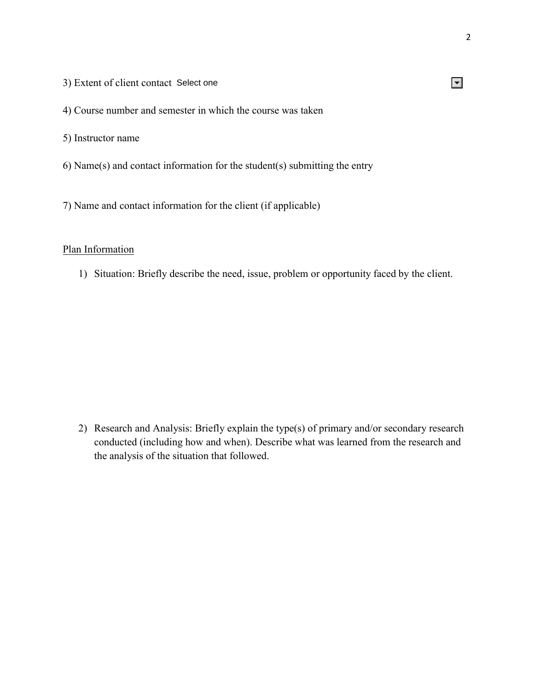- 3) Extent of client contact Select one
- 4) Course number and semester in which the course was taken
- 5) Instructor name
- 6) Name(s) and contact information for the student(s) submitting the entry
- 7) Name and contact information for the client (if applicable)

## Plan Information

1) Situation: Briefly describe the need, issue, problem or opportunity faced by the client.

2) Research and Analysis: Briefly explain the type(s) of primary and/or secondary research conducted (including how and when). Describe what was learned from the research and the analysis of the situation that followed.

# $\vert \textbf{v} \vert$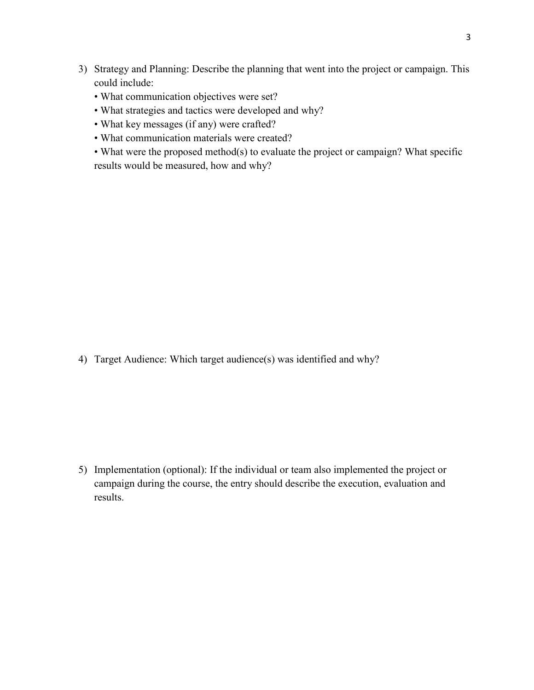- 3) Strategy and Planning: Describe the planning that went into the project or campaign. This could include:
	- What communication objectives were set?
	- What strategies and tactics were developed and why?
	- What key messages (if any) were crafted?
	- What communication materials were created?
	- What were the proposed method(s) to evaluate the project or campaign? What specific results would be measured, how and why?

4) Target Audience: Which target audience(s) was identified and why?

5) Implementation (optional): If the individual or team also implemented the project or campaign during the course, the entry should describe the execution, evaluation and results.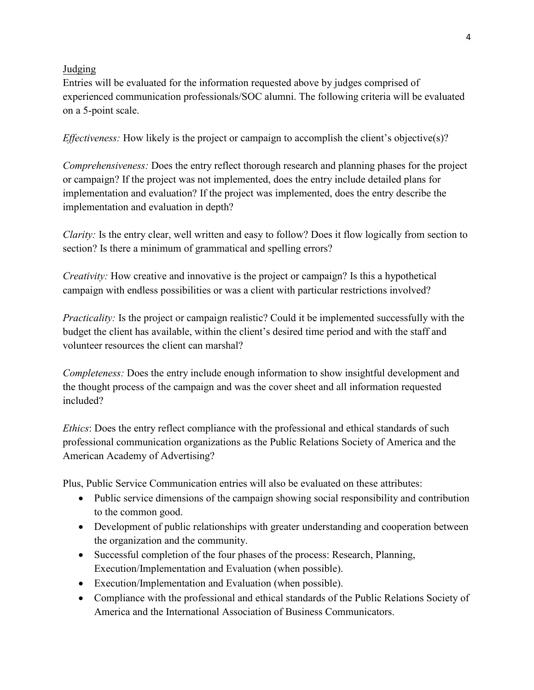#### Judging

Entries will be evaluated for the information requested above by judges comprised of experienced communication professionals/SOC alumni. The following criteria will be evaluated on a 5-point scale.

*Effectiveness:* How likely is the project or campaign to accomplish the client's objective(s)?

*Comprehensiveness:* Does the entry reflect thorough research and planning phases for the project or campaign? If the project was not implemented, does the entry include detailed plans for implementation and evaluation? If the project was implemented, does the entry describe the implementation and evaluation in depth?

*Clarity:* Is the entry clear, well written and easy to follow? Does it flow logically from section to section? Is there a minimum of grammatical and spelling errors?

*Creativity:* How creative and innovative is the project or campaign? Is this a hypothetical campaign with endless possibilities or was a client with particular restrictions involved?

*Practicality:* Is the project or campaign realistic? Could it be implemented successfully with the budget the client has available, within the client's desired time period and with the staff and volunteer resources the client can marshal?

*Completeness:* Does the entry include enough information to show insightful development and the thought process of the campaign and was the cover sheet and all information requested included?

*Ethics*: Does the entry reflect compliance with the professional and ethical standards of such professional communication organizations as the Public Relations Society of America and the American Academy of Advertising?

Plus, Public Service Communication entries will also be evaluated on these attributes:

- Public service dimensions of the campaign showing social responsibility and contribution to the common good.
- Development of public relationships with greater understanding and cooperation between the organization and the community.
- Successful completion of the four phases of the process: Research, Planning, Execution/Implementation and Evaluation (when possible).
- Execution/Implementation and Evaluation (when possible).
- Compliance with the professional and ethical standards of the Public Relations Society of America and the International Association of Business Communicators.